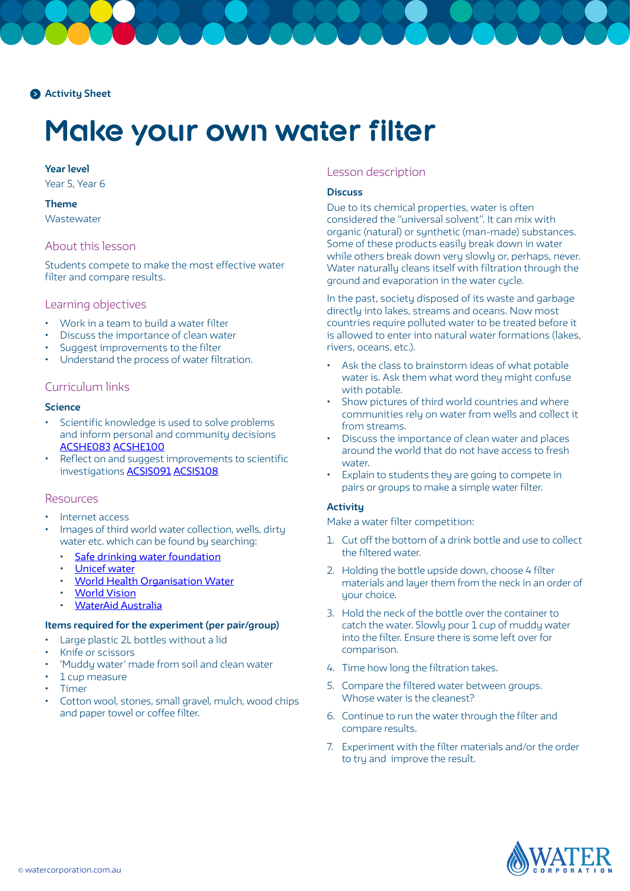

# **Make your own water filter**

#### **Year level**

Year 5, Year 6

## **Theme**

**Wastewater** 

## About this lesson

Students compete to make the most effective water filter and compare results.

#### Learning objectives

- Work in a team to build a water filter
- Discuss the importance of clean water
- Suggest improvements to the filter
- Understand the process of water filtration.

## Curriculum links

#### **Science**

- Scientific knowledge is used to solve problems and inform personal and community decisions [ACSHE083](https://www.australiancurriculum.edu.au/Search/?q=ACSHE083) [ACSHE100](https://www.australiancurriculum.edu.au/Search/?q=ACSHE100)
- Reflect on and suggest improvements to scientific investigations [ACSIS091](https://www.australiancurriculum.edu.au/Search/?q=ACSIS091) [ACSIS108](https://www.australiancurriculum.edu.au/Search/?q=ACSIS108)

#### Resources

- Internet access
- Images of third world water collection, wells, dirty water etc. which can be found by searching:
	- [Safe drinking water foundation](https://www.safewater.org)
	- [Unicef water](https://www.unicef.org/wash/)
	- [World Health Organisation Water](https://www.who.int/topics/water/en/)
	- **[World Vision](https://www.worldvision.com.au)**
	- [WaterAid Australia](https://www.wateraid.org/au/what-we-do/the-crisis/statistics)

## **Items required for the experiment (per pair/group)**

- Large plastic 2L bottles without a lid
- Knife or scissors
- 'Muddy water' made from soil and clean water
- 1 cup measure
- **Timer**
- Cotton wool, stones, small gravel, mulch, wood chips and paper towel or coffee filter.

## Lesson description

#### **Discuss**

Due to its chemical properties, water is often considered the "universal solvent". It can mix with organic (natural) or synthetic (man-made) substances. Some of these products easily break down in water while others break down very slowly or, perhaps, never. Water naturally cleans itself with filtration through the ground and evaporation in the water cycle.

In the past, society disposed of its waste and garbage directly into lakes, streams and oceans. Now most countries require polluted water to be treated before it is allowed to enter into natural water formations (lakes, rivers, oceans, etc.).

- Ask the class to brainstorm ideas of what potable water is. Ask them what word they might confuse with potable.
- Show pictures of third world countries and where communities rely on water from wells and collect it from streams.
- Discuss the importance of clean water and places around the world that do not have access to fresh water.
- Explain to students they are going to compete in pairs or groups to make a simple water filter.

## **Activity**

Make a water filter competition:

- 1. Cut off the bottom of a drink bottle and use to collect the filtered water.
- 2. Holding the bottle upside down, choose 4 filter materials and layer them from the neck in an order of your choice.
- 3. Hold the neck of the bottle over the container to catch the water. Slowly pour 1 cup of muddy water into the filter. Ensure there is some left over for comparison.
- 4. Time how long the filtration takes.
- 5. Compare the filtered water between groups. Whose water is the cleanest?
- 6. Continue to run the water through the filter and compare results.
- 7. Experiment with the filter materials and/or the order to try and improve the result.